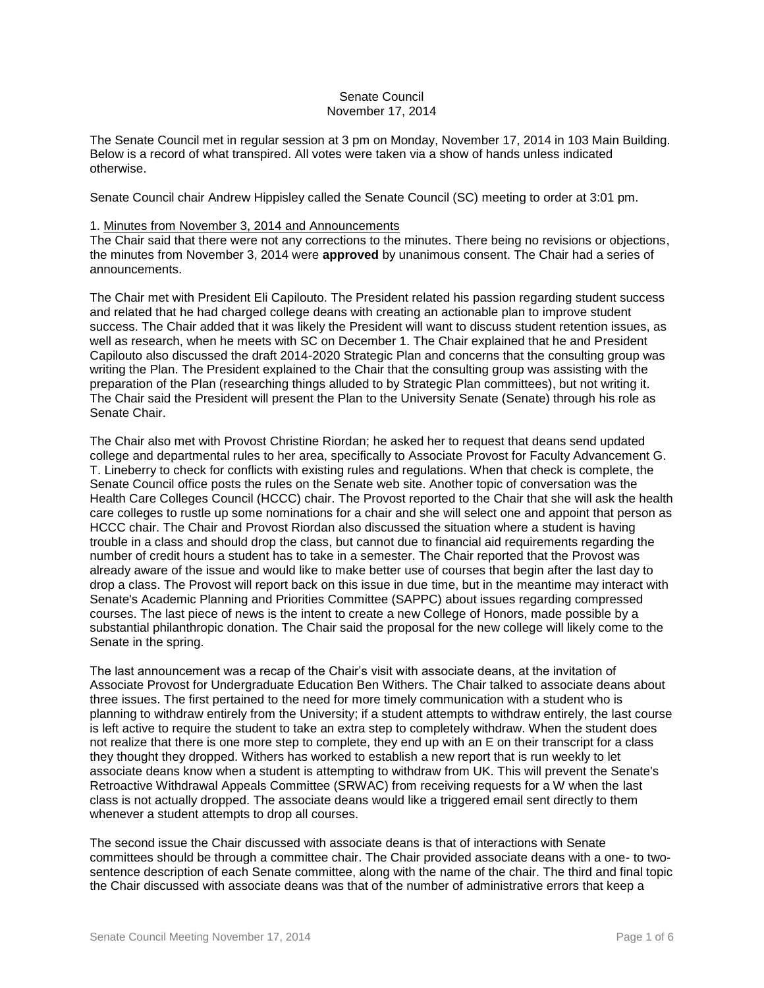## Senate Council November 17, 2014

The Senate Council met in regular session at 3 pm on Monday, November 17, 2014 in 103 Main Building. Below is a record of what transpired. All votes were taken via a show of hands unless indicated otherwise.

Senate Council chair Andrew Hippisley called the Senate Council (SC) meeting to order at 3:01 pm.

#### 1. Minutes from November 3, 2014 and Announcements

The Chair said that there were not any corrections to the minutes. There being no revisions or objections, the minutes from November 3, 2014 were **approved** by unanimous consent. The Chair had a series of announcements.

The Chair met with President Eli Capilouto. The President related his passion regarding student success and related that he had charged college deans with creating an actionable plan to improve student success. The Chair added that it was likely the President will want to discuss student retention issues, as well as research, when he meets with SC on December 1. The Chair explained that he and President Capilouto also discussed the draft 2014-2020 Strategic Plan and concerns that the consulting group was writing the Plan. The President explained to the Chair that the consulting group was assisting with the preparation of the Plan (researching things alluded to by Strategic Plan committees), but not writing it. The Chair said the President will present the Plan to the University Senate (Senate) through his role as Senate Chair.

The Chair also met with Provost Christine Riordan; he asked her to request that deans send updated college and departmental rules to her area, specifically to Associate Provost for Faculty Advancement G. T. Lineberry to check for conflicts with existing rules and regulations. When that check is complete, the Senate Council office posts the rules on the Senate web site. Another topic of conversation was the Health Care Colleges Council (HCCC) chair. The Provost reported to the Chair that she will ask the health care colleges to rustle up some nominations for a chair and she will select one and appoint that person as HCCC chair. The Chair and Provost Riordan also discussed the situation where a student is having trouble in a class and should drop the class, but cannot due to financial aid requirements regarding the number of credit hours a student has to take in a semester. The Chair reported that the Provost was already aware of the issue and would like to make better use of courses that begin after the last day to drop a class. The Provost will report back on this issue in due time, but in the meantime may interact with Senate's Academic Planning and Priorities Committee (SAPPC) about issues regarding compressed courses. The last piece of news is the intent to create a new College of Honors, made possible by a substantial philanthropic donation. The Chair said the proposal for the new college will likely come to the Senate in the spring.

The last announcement was a recap of the Chair's visit with associate deans, at the invitation of Associate Provost for Undergraduate Education Ben Withers. The Chair talked to associate deans about three issues. The first pertained to the need for more timely communication with a student who is planning to withdraw entirely from the University; if a student attempts to withdraw entirely, the last course is left active to require the student to take an extra step to completely withdraw. When the student does not realize that there is one more step to complete, they end up with an E on their transcript for a class they thought they dropped. Withers has worked to establish a new report that is run weekly to let associate deans know when a student is attempting to withdraw from UK. This will prevent the Senate's Retroactive Withdrawal Appeals Committee (SRWAC) from receiving requests for a W when the last class is not actually dropped. The associate deans would like a triggered email sent directly to them whenever a student attempts to drop all courses.

The second issue the Chair discussed with associate deans is that of interactions with Senate committees should be through a committee chair. The Chair provided associate deans with a one- to twosentence description of each Senate committee, along with the name of the chair. The third and final topic the Chair discussed with associate deans was that of the number of administrative errors that keep a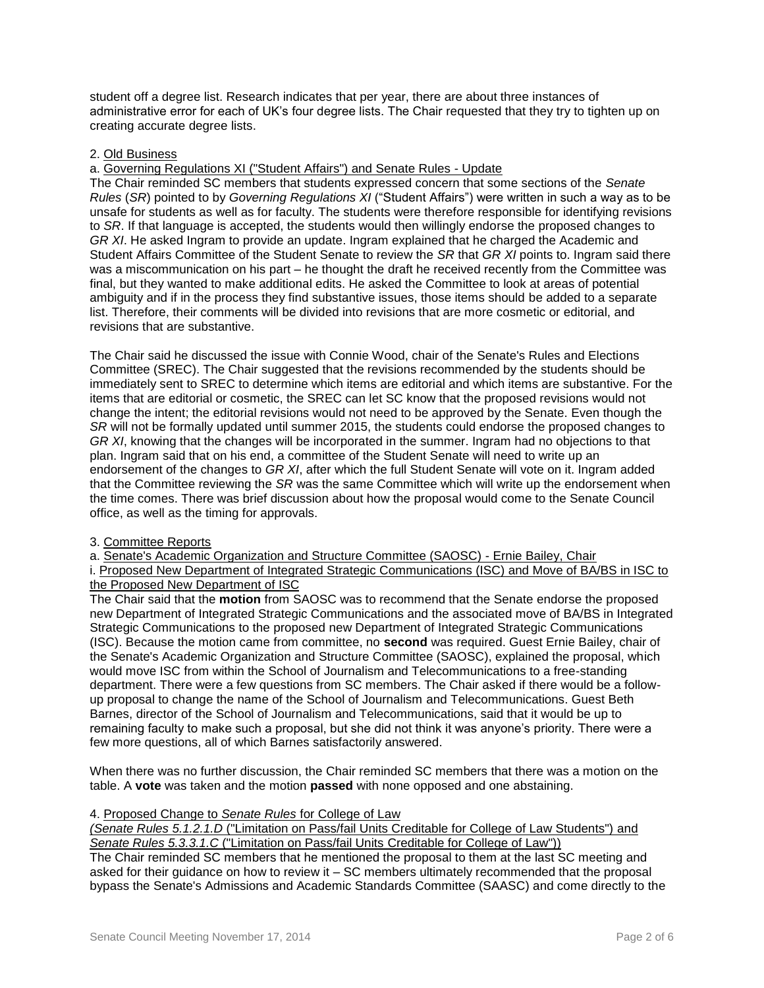student off a degree list. Research indicates that per year, there are about three instances of administrative error for each of UK's four degree lists. The Chair requested that they try to tighten up on creating accurate degree lists.

## 2. Old Business

a. Governing Regulations XI ("Student Affairs") and Senate Rules - Update

The Chair reminded SC members that students expressed concern that some sections of the *Senate Rules* (*SR*) pointed to by *Governing Regulations XI* ("Student Affairs") were written in such a way as to be unsafe for students as well as for faculty. The students were therefore responsible for identifying revisions to *SR*. If that language is accepted, the students would then willingly endorse the proposed changes to *GR XI*. He asked Ingram to provide an update. Ingram explained that he charged the Academic and Student Affairs Committee of the Student Senate to review the *SR* that *GR XI* points to. Ingram said there was a miscommunication on his part – he thought the draft he received recently from the Committee was final, but they wanted to make additional edits. He asked the Committee to look at areas of potential ambiguity and if in the process they find substantive issues, those items should be added to a separate list. Therefore, their comments will be divided into revisions that are more cosmetic or editorial, and revisions that are substantive.

The Chair said he discussed the issue with Connie Wood, chair of the Senate's Rules and Elections Committee (SREC). The Chair suggested that the revisions recommended by the students should be immediately sent to SREC to determine which items are editorial and which items are substantive. For the items that are editorial or cosmetic, the SREC can let SC know that the proposed revisions would not change the intent; the editorial revisions would not need to be approved by the Senate. Even though the *SR* will not be formally updated until summer 2015, the students could endorse the proposed changes to *GR XI*, knowing that the changes will be incorporated in the summer. Ingram had no objections to that plan. Ingram said that on his end, a committee of the Student Senate will need to write up an endorsement of the changes to *GR XI*, after which the full Student Senate will vote on it. Ingram added that the Committee reviewing the *SR* was the same Committee which will write up the endorsement when the time comes. There was brief discussion about how the proposal would come to the Senate Council office, as well as the timing for approvals.

## 3. Committee Reports

a. Senate's Academic Organization and Structure Committee (SAOSC) - Ernie Bailey, Chair i. Proposed New Department of Integrated Strategic Communications (ISC) and Move of BA/BS in ISC to the Proposed New Department of ISC

The Chair said that the **motion** from SAOSC was to recommend that the Senate endorse the proposed new Department of Integrated Strategic Communications and the associated move of BA/BS in Integrated Strategic Communications to the proposed new Department of Integrated Strategic Communications (ISC). Because the motion came from committee, no **second** was required. Guest Ernie Bailey, chair of the Senate's Academic Organization and Structure Committee (SAOSC), explained the proposal, which would move ISC from within the School of Journalism and Telecommunications to a free-standing department. There were a few questions from SC members. The Chair asked if there would be a followup proposal to change the name of the School of Journalism and Telecommunications. Guest Beth Barnes, director of the School of Journalism and Telecommunications, said that it would be up to remaining faculty to make such a proposal, but she did not think it was anyone's priority. There were a few more questions, all of which Barnes satisfactorily answered.

When there was no further discussion, the Chair reminded SC members that there was a motion on the table. A **vote** was taken and the motion **passed** with none opposed and one abstaining.

# 4. Proposed Change to *Senate Rules* for College of Law

*(Senate Rules 5.1.2.1.D* ("Limitation on Pass/fail Units Creditable for College of Law Students") and *Senate Rules 5.3.3.1.C* ("Limitation on Pass/fail Units Creditable for College of Law"))

The Chair reminded SC members that he mentioned the proposal to them at the last SC meeting and asked for their guidance on how to review it – SC members ultimately recommended that the proposal bypass the Senate's Admissions and Academic Standards Committee (SAASC) and come directly to the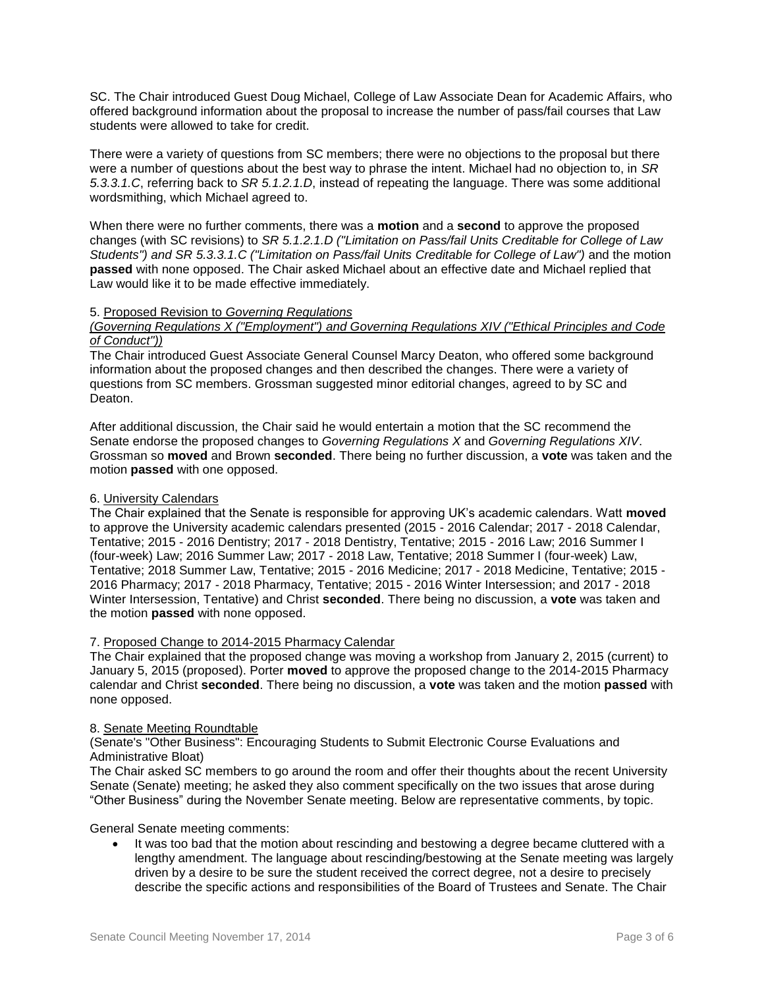SC. The Chair introduced Guest Doug Michael, College of Law Associate Dean for Academic Affairs, who offered background information about the proposal to increase the number of pass/fail courses that Law students were allowed to take for credit.

There were a variety of questions from SC members; there were no objections to the proposal but there were a number of questions about the best way to phrase the intent. Michael had no objection to, in *SR 5.3.3.1.C*, referring back to *SR 5.1.2.1.D*, instead of repeating the language. There was some additional wordsmithing, which Michael agreed to.

When there were no further comments, there was a **motion** and a **second** to approve the proposed changes (with SC revisions) to *SR 5.1.2.1.D ("Limitation on Pass/fail Units Creditable for College of Law Students") and SR 5.3.3.1.C ("Limitation on Pass/fail Units Creditable for College of Law")* and the motion **passed** with none opposed. The Chair asked Michael about an effective date and Michael replied that Law would like it to be made effective immediately.

## 5. Proposed Revision to *Governing Regulations*

#### *(Governing Regulations X ("Employment") and Governing Regulations XIV ("Ethical Principles and Code of Conduct"))*

The Chair introduced Guest Associate General Counsel Marcy Deaton, who offered some background information about the proposed changes and then described the changes. There were a variety of questions from SC members. Grossman suggested minor editorial changes, agreed to by SC and Deaton.

After additional discussion, the Chair said he would entertain a motion that the SC recommend the Senate endorse the proposed changes to *Governing Regulations X* and *Governing Regulations XIV*. Grossman so **moved** and Brown **seconded**. There being no further discussion, a **vote** was taken and the motion **passed** with one opposed.

## 6. University Calendars

The Chair explained that the Senate is responsible for approving UK's academic calendars. Watt **moved** to approve the University academic calendars presented (2015 - 2016 Calendar; 2017 - 2018 Calendar, Tentative; 2015 - 2016 Dentistry; 2017 - 2018 Dentistry, Tentative; 2015 - 2016 Law; 2016 Summer I (four-week) Law; 2016 Summer Law; 2017 - 2018 Law, Tentative; 2018 Summer I (four-week) Law, Tentative; 2018 Summer Law, Tentative; 2015 - 2016 Medicine; 2017 - 2018 Medicine, Tentative; 2015 - 2016 Pharmacy; 2017 - 2018 Pharmacy, Tentative; 2015 - 2016 Winter Intersession; and 2017 - 2018 Winter Intersession, Tentative) and Christ **seconded**. There being no discussion, a **vote** was taken and the motion **passed** with none opposed.

## 7. Proposed Change to 2014-2015 Pharmacy Calendar

The Chair explained that the proposed change was moving a workshop from January 2, 2015 (current) to January 5, 2015 (proposed). Porter **moved** to approve the proposed change to the 2014-2015 Pharmacy calendar and Christ **seconded**. There being no discussion, a **vote** was taken and the motion **passed** with none opposed.

## 8. Senate Meeting Roundtable

(Senate's "Other Business": Encouraging Students to Submit Electronic Course Evaluations and Administrative Bloat)

The Chair asked SC members to go around the room and offer their thoughts about the recent University Senate (Senate) meeting; he asked they also comment specifically on the two issues that arose during "Other Business" during the November Senate meeting. Below are representative comments, by topic.

General Senate meeting comments:

It was too bad that the motion about rescinding and bestowing a degree became cluttered with a lengthy amendment. The language about rescinding/bestowing at the Senate meeting was largely driven by a desire to be sure the student received the correct degree, not a desire to precisely describe the specific actions and responsibilities of the Board of Trustees and Senate. The Chair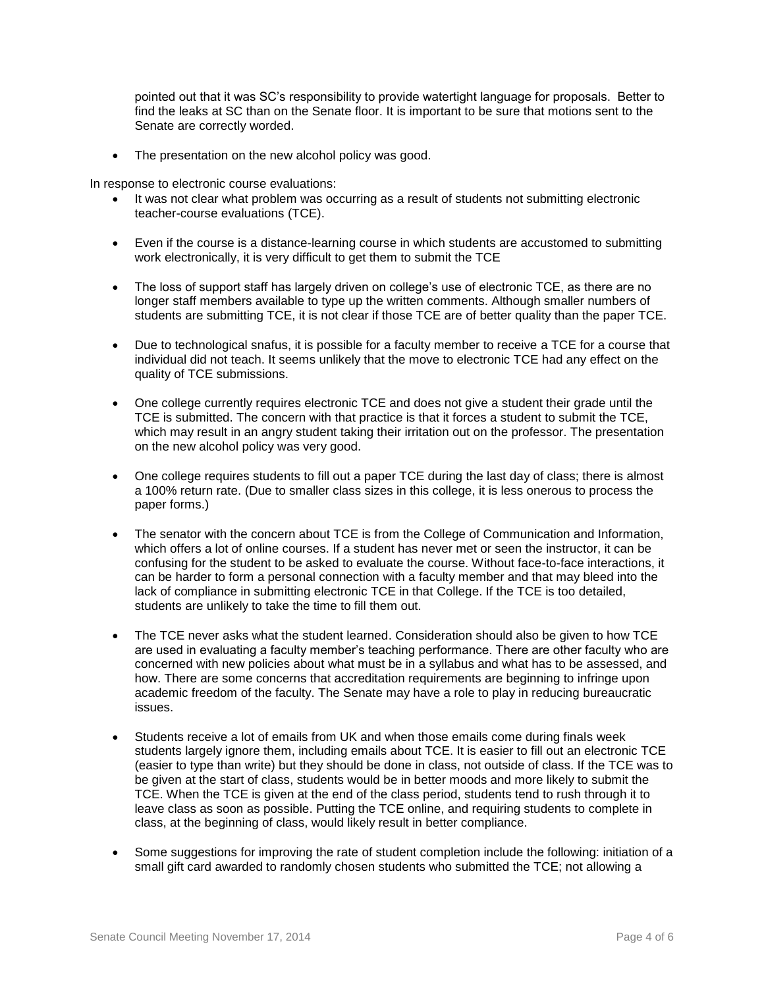pointed out that it was SC's responsibility to provide watertight language for proposals. Better to find the leaks at SC than on the Senate floor. It is important to be sure that motions sent to the Senate are correctly worded.

The presentation on the new alcohol policy was good.

In response to electronic course evaluations:

- It was not clear what problem was occurring as a result of students not submitting electronic teacher-course evaluations (TCE).
- Even if the course is a distance-learning course in which students are accustomed to submitting work electronically, it is very difficult to get them to submit the TCE
- The loss of support staff has largely driven on college's use of electronic TCE, as there are no longer staff members available to type up the written comments. Although smaller numbers of students are submitting TCE, it is not clear if those TCE are of better quality than the paper TCE.
- Due to technological snafus, it is possible for a faculty member to receive a TCE for a course that individual did not teach. It seems unlikely that the move to electronic TCE had any effect on the quality of TCE submissions.
- One college currently requires electronic TCE and does not give a student their grade until the TCE is submitted. The concern with that practice is that it forces a student to submit the TCE, which may result in an angry student taking their irritation out on the professor. The presentation on the new alcohol policy was very good.
- One college requires students to fill out a paper TCE during the last day of class; there is almost a 100% return rate. (Due to smaller class sizes in this college, it is less onerous to process the paper forms.)
- The senator with the concern about TCE is from the College of Communication and Information, which offers a lot of online courses. If a student has never met or seen the instructor, it can be confusing for the student to be asked to evaluate the course. Without face-to-face interactions, it can be harder to form a personal connection with a faculty member and that may bleed into the lack of compliance in submitting electronic TCE in that College. If the TCE is too detailed, students are unlikely to take the time to fill them out.
- The TCE never asks what the student learned. Consideration should also be given to how TCE are used in evaluating a faculty member's teaching performance. There are other faculty who are concerned with new policies about what must be in a syllabus and what has to be assessed, and how. There are some concerns that accreditation requirements are beginning to infringe upon academic freedom of the faculty. The Senate may have a role to play in reducing bureaucratic issues.
- Students receive a lot of emails from UK and when those emails come during finals week students largely ignore them, including emails about TCE. It is easier to fill out an electronic TCE (easier to type than write) but they should be done in class, not outside of class. If the TCE was to be given at the start of class, students would be in better moods and more likely to submit the TCE. When the TCE is given at the end of the class period, students tend to rush through it to leave class as soon as possible. Putting the TCE online, and requiring students to complete in class, at the beginning of class, would likely result in better compliance.
- Some suggestions for improving the rate of student completion include the following: initiation of a small gift card awarded to randomly chosen students who submitted the TCE; not allowing a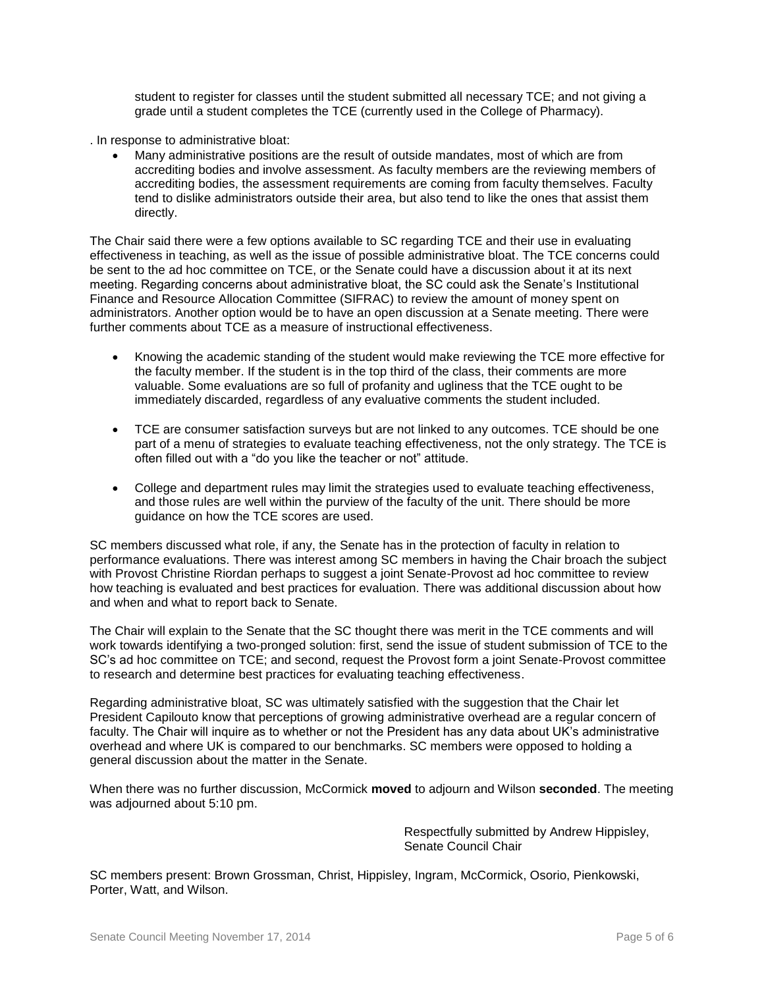student to register for classes until the student submitted all necessary TCE; and not giving a grade until a student completes the TCE (currently used in the College of Pharmacy).

- . In response to administrative bloat:
	- Many administrative positions are the result of outside mandates, most of which are from accrediting bodies and involve assessment. As faculty members are the reviewing members of accrediting bodies, the assessment requirements are coming from faculty themselves. Faculty tend to dislike administrators outside their area, but also tend to like the ones that assist them directly.

The Chair said there were a few options available to SC regarding TCE and their use in evaluating effectiveness in teaching, as well as the issue of possible administrative bloat. The TCE concerns could be sent to the ad hoc committee on TCE, or the Senate could have a discussion about it at its next meeting. Regarding concerns about administrative bloat, the SC could ask the Senate's Institutional Finance and Resource Allocation Committee (SIFRAC) to review the amount of money spent on administrators. Another option would be to have an open discussion at a Senate meeting. There were further comments about TCE as a measure of instructional effectiveness.

- Knowing the academic standing of the student would make reviewing the TCE more effective for the faculty member. If the student is in the top third of the class, their comments are more valuable. Some evaluations are so full of profanity and ugliness that the TCE ought to be immediately discarded, regardless of any evaluative comments the student included.
- TCE are consumer satisfaction surveys but are not linked to any outcomes. TCE should be one part of a menu of strategies to evaluate teaching effectiveness, not the only strategy. The TCE is often filled out with a "do you like the teacher or not" attitude.
- College and department rules may limit the strategies used to evaluate teaching effectiveness, and those rules are well within the purview of the faculty of the unit. There should be more guidance on how the TCE scores are used.

SC members discussed what role, if any, the Senate has in the protection of faculty in relation to performance evaluations. There was interest among SC members in having the Chair broach the subject with Provost Christine Riordan perhaps to suggest a joint Senate-Provost ad hoc committee to review how teaching is evaluated and best practices for evaluation. There was additional discussion about how and when and what to report back to Senate.

The Chair will explain to the Senate that the SC thought there was merit in the TCE comments and will work towards identifying a two-pronged solution: first, send the issue of student submission of TCE to the SC's ad hoc committee on TCE; and second, request the Provost form a joint Senate-Provost committee to research and determine best practices for evaluating teaching effectiveness.

Regarding administrative bloat, SC was ultimately satisfied with the suggestion that the Chair let President Capilouto know that perceptions of growing administrative overhead are a regular concern of faculty. The Chair will inquire as to whether or not the President has any data about UK's administrative overhead and where UK is compared to our benchmarks. SC members were opposed to holding a general discussion about the matter in the Senate.

When there was no further discussion, McCormick **moved** to adjourn and Wilson **seconded**. The meeting was adjourned about 5:10 pm.

> Respectfully submitted by Andrew Hippisley, Senate Council Chair

SC members present: Brown Grossman, Christ, Hippisley, Ingram, McCormick, Osorio, Pienkowski, Porter, Watt, and Wilson.